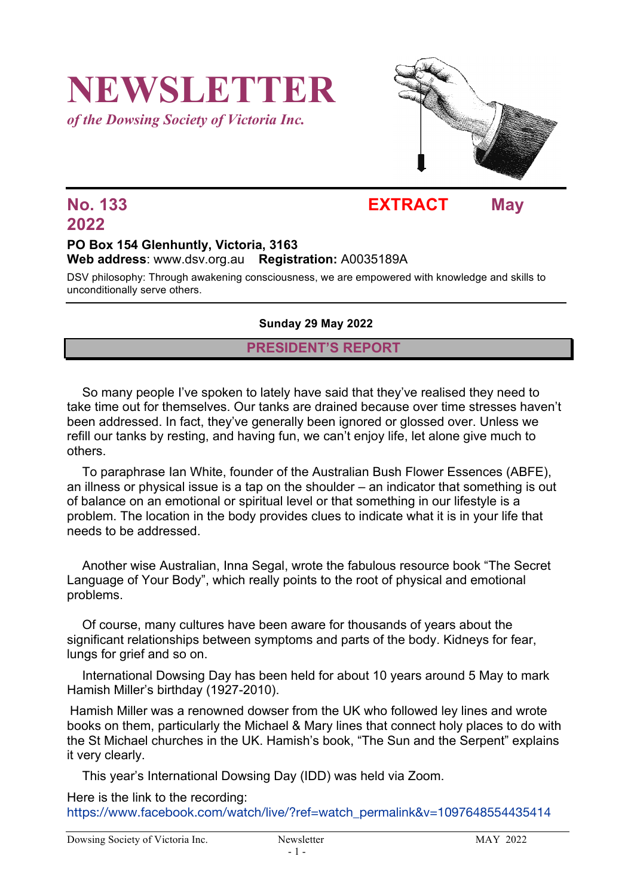## **NEWSLETTER** *of the Dowsing Society of Victoria Inc.*



### **No. 133 EXTRACT May**

# **2022**

#### **PO Box 154 Glenhuntly, Victoria, 3163 Web address**: www.dsv.org.au **Registration:** A0035189A

DSV philosophy: Through awakening consciousness, we are empowered with knowledge and skills to unconditionally serve others.

#### **Sunday 29 May 2022**

#### **PRESIDENT'S REPORT**

So many people I've spoken to lately have said that they've realised they need to take time out for themselves. Our tanks are drained because over time stresses haven't been addressed. In fact, they've generally been ignored or glossed over. Unless we refill our tanks by resting, and having fun, we can't enjoy life, let alone give much to others.

To paraphrase Ian White, founder of the Australian Bush Flower Essences (ABFE), an illness or physical issue is a tap on the shoulder – an indicator that something is out of balance on an emotional or spiritual level or that something in our lifestyle is a problem. The location in the body provides clues to indicate what it is in your life that needs to be addressed.

Another wise Australian, Inna Segal, wrote the fabulous resource book "The Secret Language of Your Body", which really points to the root of physical and emotional problems.

Of course, many cultures have been aware for thousands of years about the significant relationships between symptoms and parts of the body. Kidneys for fear, lungs for grief and so on.

International Dowsing Day has been held for about 10 years around 5 May to mark Hamish Miller's birthday (1927-2010).

Hamish Miller was a renowned dowser from the UK who followed ley lines and wrote books on them, particularly the Michael & Mary lines that connect holy places to do with the St Michael churches in the UK. Hamish's book, "The Sun and the Serpent" explains it very clearly.

This year's International Dowsing Day (IDD) was held via Zoom.

Here is the link to the recording:

https://www.facebook.com/watch/live/?ref=watch\_permalink&v=1097648554435414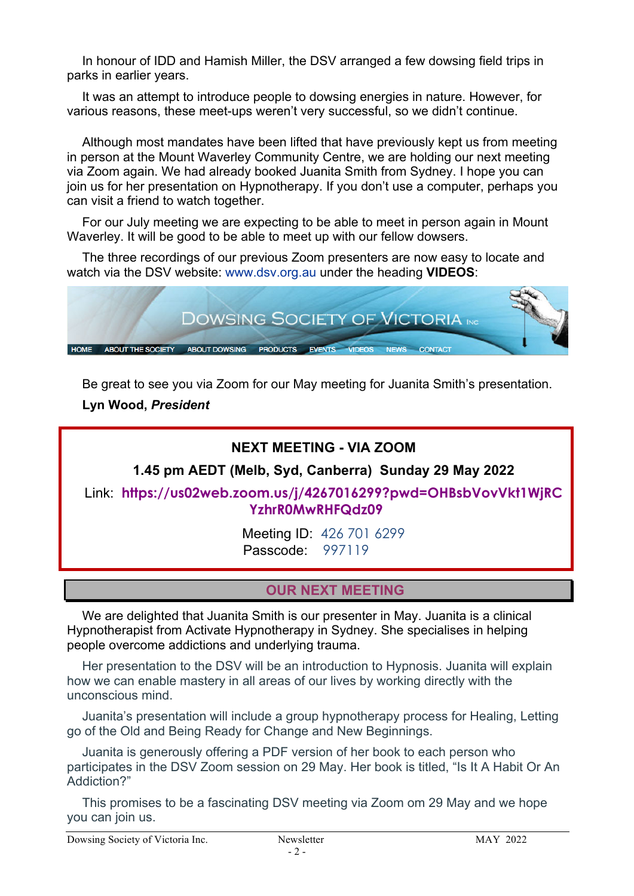In honour of IDD and Hamish Miller, the DSV arranged a few dowsing field trips in parks in earlier years.

It was an attempt to introduce people to dowsing energies in nature. However, for various reasons, these meet-ups weren't very successful, so we didn't continue.

Although most mandates have been lifted that have previously kept us from meeting in person at the Mount Waverley Community Centre, we are holding our next meeting via Zoom again. We had already booked Juanita Smith from Sydney. I hope you can join us for her presentation on Hypnotherapy. If you don't use a computer, perhaps you can visit a friend to watch together.

For our July meeting we are expecting to be able to meet in person again in Mount Waverley. It will be good to be able to meet up with our fellow dowsers.

The three recordings of our previous Zoom presenters are now easy to locate and watch via the DSV website: www.dsv.org.au under the heading **VIDEOS**:



Be great to see you via Zoom for our May meeting for Juanita Smith's presentation.

**Lyn Wood,** *President*

#### **NEXT MEETING - VIA ZOOM**

**1.45 pm AEDT (Melb, Syd, Canberra) Sunday 29 May 2022**

Link: **https://us02web.zoom.us/j/4267016299?pwd=OHBsbVovVkt1WjRC YzhrR0MwRHFQdz09**

> Meeting ID: 426 701 6299 Passcode: 997119

#### **OUR NEXT MEETING**

We are delighted that Juanita Smith is our presenter in May. Juanita is a clinical Hypnotherapist from Activate Hypnotherapy in Sydney. She specialises in helping people overcome addictions and underlying trauma.

Her presentation to the DSV will be an introduction to Hypnosis. Juanita will explain how we can enable mastery in all areas of our lives by working directly with the unconscious mind.

Juanita's presentation will include a group hypnotherapy process for Healing, Letting go of the Old and Being Ready for Change and New Beginnings.

Juanita is generously offering a PDF version of her book to each person who participates in the DSV Zoom session on 29 May. Her book is titled, "Is It A Habit Or An Addiction?"

This promises to be a fascinating DSV meeting via Zoom om 29 May and we hope you can join us.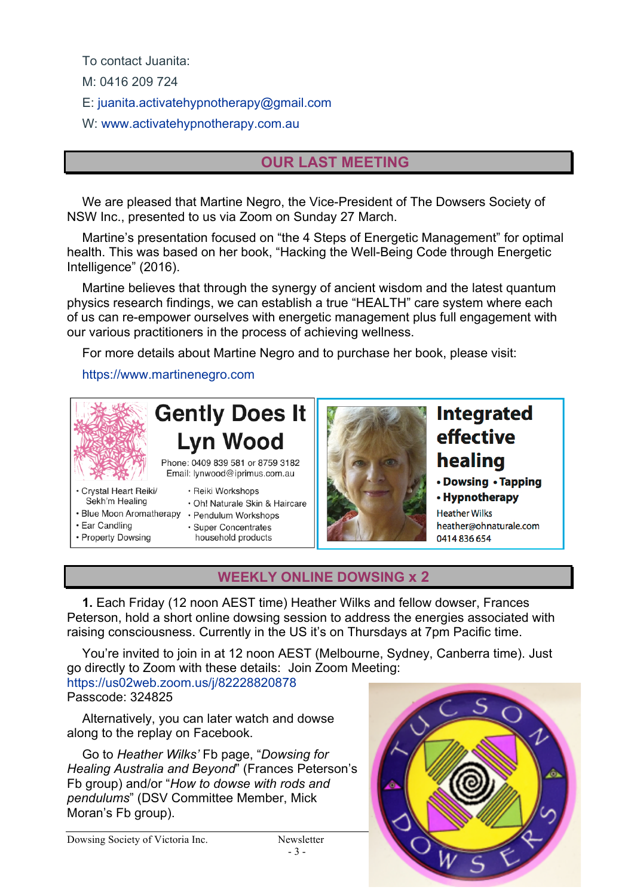To contact Juanita:

M: 0416 209 724

E: juanita.activatehypnotherapy@gmail.com

W: www.activatehypnotherapy.com.au

#### **OUR LAST MEETING**

We are pleased that Martine Negro, the Vice-President of The Dowsers Society of NSW Inc., presented to us via Zoom on Sunday 27 March.

Martine's presentation focused on "the 4 Steps of Energetic Management" for optimal health. This was based on her book, "Hacking the Well-Being Code through Energetic Intelligence" (2016).

Martine believes that through the synergy of ancient wisdom and the latest quantum physics research findings, we can establish a true "HEALTH" care system where each of us can re-empower ourselves with energetic management plus full engagement with our various practitioners in the process of achieving wellness.

For more details about Martine Negro and to purchase her book, please visit:

https://www.martinenegro.com



- Property Dowsing
- household products



#### **WEEKLY ONLINE DOWSING x 2**

**1.** Each Friday (12 noon AEST time) Heather Wilks and fellow dowser, Frances Peterson, hold a short online dowsing session to address the energies associated with raising consciousness. Currently in the US it's on Thursdays at 7pm Pacific time.

You're invited to join in at 12 noon AEST (Melbourne, Sydney, Canberra time). Just go directly to Zoom with these details: Join Zoom Meeting: https://us02web.zoom.us/j/82228820878

Passcode: 324825

Alternatively, you can later watch and dowse along to the replay on Facebook.

Go to *Heather Wilks'* Fb page, "*Dowsing for Healing Australia and Beyond*" (Frances Peterson's Fb group) and/or "*How to dowse with rods and pendulums*" (DSV Committee Member, Mick Moran's Fb group).



- 3 -

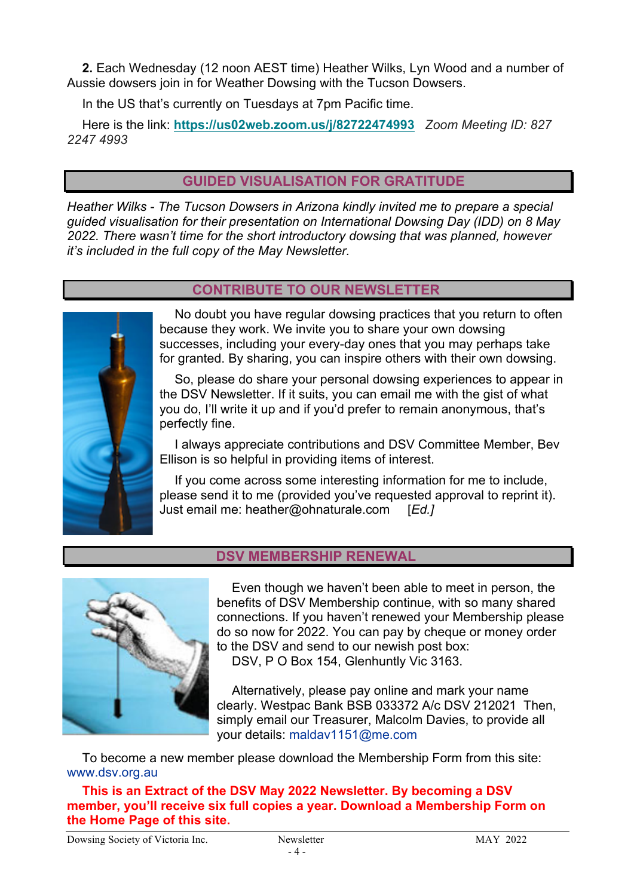**2.** Each Wednesday (12 noon AEST time) Heather Wilks, Lyn Wood and a number of Aussie dowsers join in for Weather Dowsing with the Tucson Dowsers.

In the US that's currently on Tuesdays at 7pm Pacific time.

Here is the link: **https://us02web.zoom.us/j/82722474993** *Zoom Meeting ID: 827 2247 4993*

#### **GUIDED VISUALISATION FOR GRATITUDE**

*Heather Wilks - The Tucson Dowsers in Arizona kindly invited me to prepare a special guided visualisation for their presentation on International Dowsing Day (IDD) on 8 May 2022. There wasn't time for the short introductory dowsing that was planned, however it's included in the full copy of the May Newsletter.*

#### **CONTRIBUTE TO OUR NEWSLETTER**



No doubt you have regular dowsing practices that you return to often because they work. We invite you to share your own dowsing successes, including your every-day ones that you may perhaps take for granted. By sharing, you can inspire others with their own dowsing.

So, please do share your personal dowsing experiences to appear in the DSV Newsletter. If it suits, you can email me with the gist of what you do, I'll write it up and if you'd prefer to remain anonymous, that's perfectly fine.

I always appreciate contributions and DSV Committee Member, Bev Ellison is so helpful in providing items of interest.

If you come across some interesting information for me to include, please send it to me (provided you've requested approval to reprint it). Just email me: heather@ohnaturale.com [*Ed.]*



#### **DSV MEMBERSHIP RENEWAL**

Even though we haven't been able to meet in person, the benefits of DSV Membership continue, with so many shared connections. If you haven't renewed your Membership please do so now for 2022. You can pay by cheque or money order to the DSV and send to our newish post box:

DSV, P O Box 154, Glenhuntly Vic 3163.

Alternatively, please pay online and mark your name clearly. Westpac Bank BSB 033372 A/c DSV 212021 Then, simply email our Treasurer, Malcolm Davies, to provide all your details: maldav1151@me.com

To become a new member please download the Membership Form from this site: www.dsv.org.au

**This is an Extract of the DSV May 2022 Newsletter. By becoming a DSV member, you'll receive six full copies a year. Download a Membership Form on the Home Page of this site.**